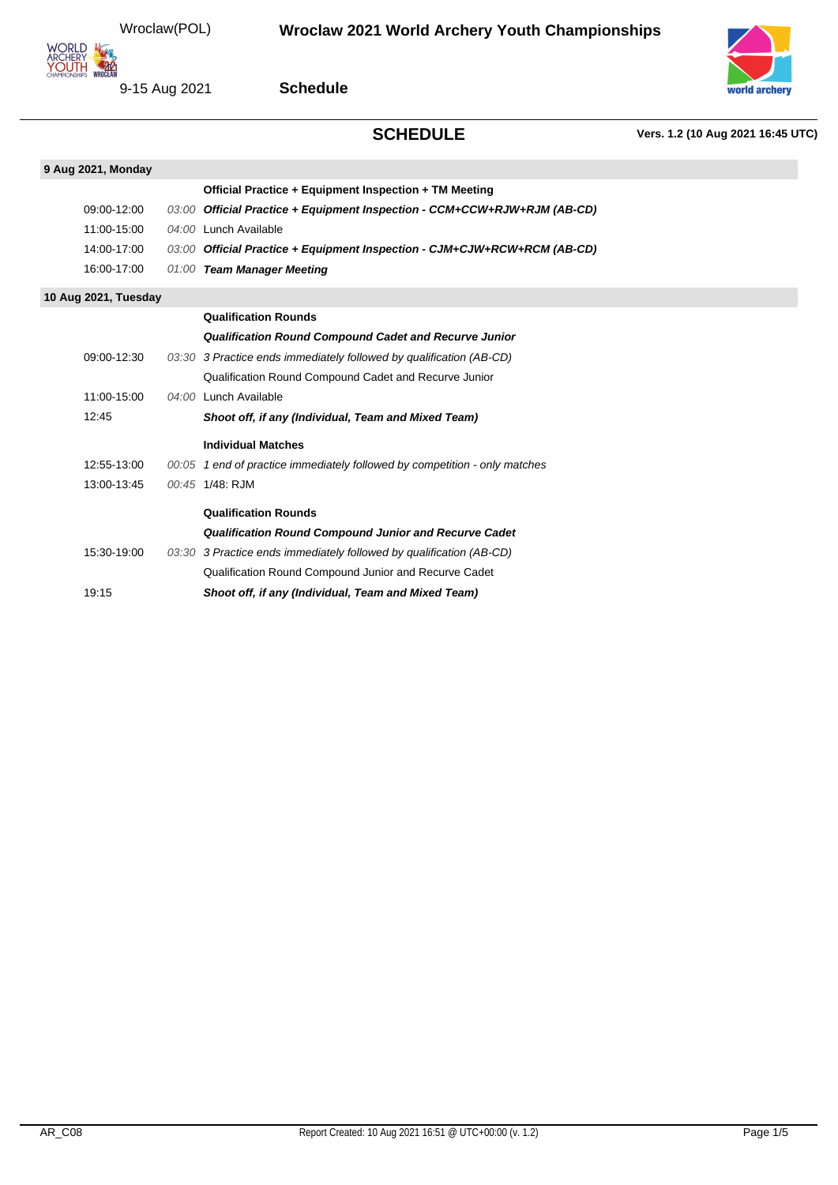Wroclaw(POL)



9-15 Aug 2021

**Schedule**

# **SCHEDULE Vers. 1.2 (10 Aug 2021 16:45 UTC)**



**9 Aug 2021, Monday Official Practice + Equipment Inspection + TM Meeting** 09:00-12:00 03:00 **Official Practice + Equipment Inspection - CCM+CCW+RJW+RJM (AB-CD)** 11:00-15:00 04:00 Lunch Available 14:00-17:00 03:00 **Official Practice + Equipment Inspection - CJM+CJW+RCW+RCM (AB-CD)** 16:00-17:00 01:00 **Team Manager Meeting 10 Aug 2021, Tuesday Qualification Rounds Qualification Round Compound Cadet and Recurve Junior** 09:00-12:30 03:30 3 Practice ends immediately followed by qualification (AB-CD) Qualification Round Compound Cadet and Recurve Junior 11:00-15:00 04:00 Lunch Available 12:45 **Shoot off, if any (Individual, Team and Mixed Team) Individual Matches** 12:55-13:00 00:05 1 end of practice immediately followed by competition - only matches 13:00-13:45 00:45 1/48: RJM **Qualification Rounds Qualification Round Compound Junior and Recurve Cadet** 15:30-19:00 03:30 3 Practice ends immediately followed by qualification (AB-CD) Qualification Round Compound Junior and Recurve Cadet 19:15 **Shoot off, if any (Individual, Team and Mixed Team)**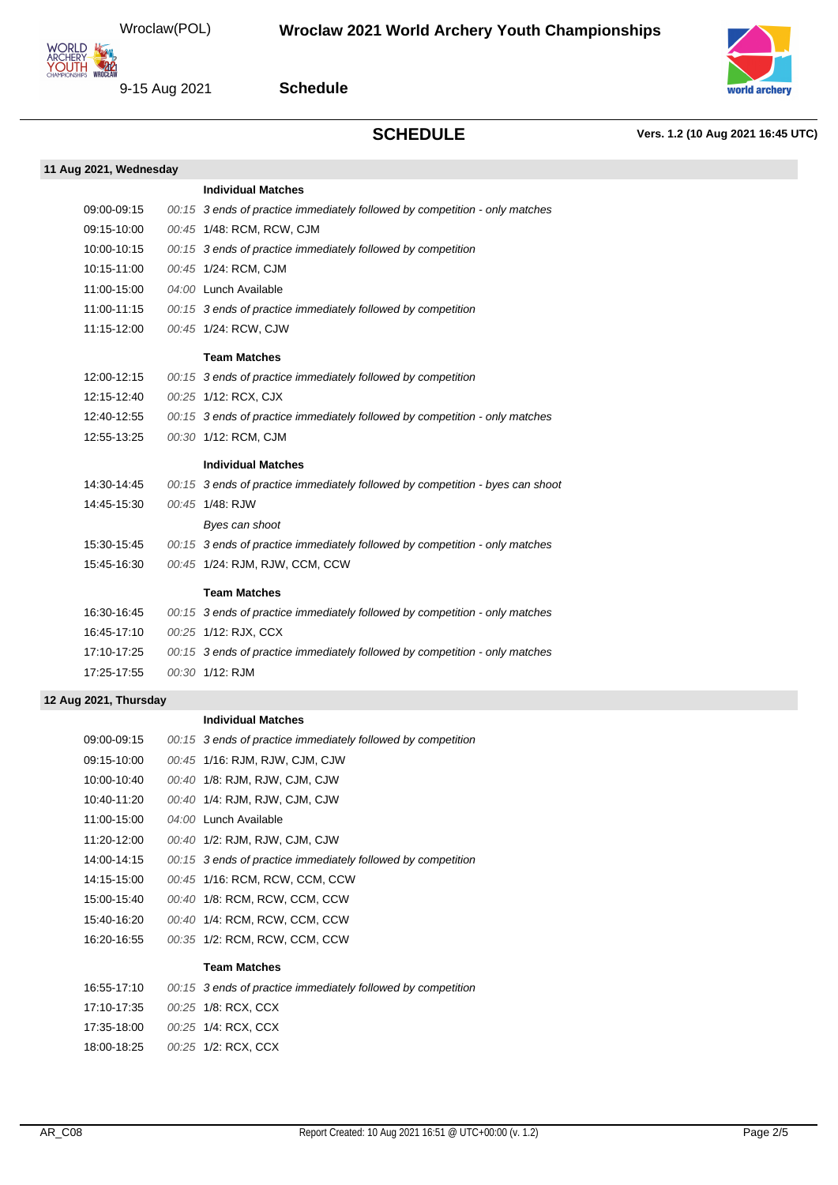

9-15 Aug 2021

### **Schedule**



# **SCHEDULE Vers. 1.2 (10 Aug 2021 16:45 UTC)**

| 11 Aug 2021, Wednesday |                                                                               |
|------------------------|-------------------------------------------------------------------------------|
|                        | <b>Individual Matches</b>                                                     |
| 09:00-09:15            | 00:15 3 ends of practice immediately followed by competition - only matches   |
| 09:15-10:00            | 00:45 1/48: RCM, RCW, CJM                                                     |
| 10:00-10:15            | 00:15 3 ends of practice immediately followed by competition                  |
| 10:15-11:00            | 00:45 1/24: RCM, CJM                                                          |
| 11:00-15:00            | 04:00 Lunch Available                                                         |
| 11:00-11:15            | 00:15 3 ends of practice immediately followed by competition                  |
| 11:15-12:00            | 00:45 1/24: RCW, CJW                                                          |
|                        | <b>Team Matches</b>                                                           |
| 12:00-12:15            | 00:15 3 ends of practice immediately followed by competition                  |
| 12:15-12:40            | 00:25 1/12: RCX, CJX                                                          |
| 12:40-12:55            | 00:15 3 ends of practice immediately followed by competition - only matches   |
| 12:55-13:25            | 00:30 1/12: RCM, CJM                                                          |
|                        | <b>Individual Matches</b>                                                     |
| 14:30-14:45            | 00:15 3 ends of practice immediately followed by competition - byes can shoot |
| 14:45-15:30            | 00:45 1/48: RJW                                                               |
|                        | Byes can shoot                                                                |
| 15:30-15:45            | 00:15 3 ends of practice immediately followed by competition - only matches   |
| 15:45-16:30            | 00:45 1/24: RJM, RJW, CCM, CCW                                                |
|                        | <b>Team Matches</b>                                                           |
| 16:30-16:45            | 00:15 3 ends of practice immediately followed by competition - only matches   |
| 16:45-17:10            | 00:25 1/12: RJX, CCX                                                          |
| 17:10-17:25            | 00:15 3 ends of practice immediately followed by competition - only matches   |
| 17:25-17:55            | 00:30 1/12: RJM                                                               |
|                        |                                                                               |

## **12 Aug 2021, Thursday**

### **Individual Matches**

| 09:00-09:15 | 00:15 3 ends of practice immediately followed by competition |
|-------------|--------------------------------------------------------------|
| 09:15-10:00 | 00:45 1/16: RJM, RJW, CJM, CJW                               |
| 10:00-10:40 | 00:40 1/8: RJM, RJW, CJM, CJW                                |
| 10:40-11:20 | 00:40 1/4: RJM, RJW, CJM, CJW                                |
| 11:00-15:00 | 04:00 Lunch Available                                        |
| 11:20-12:00 | 00:40 1/2: RJM, RJW, CJM, CJW                                |
| 14:00-14:15 | 00:15 3 ends of practice immediately followed by competition |
| 14:15-15:00 | 00:45 1/16: RCM, RCW, CCM, CCW                               |
| 15:00-15:40 | 00:40 1/8: RCM, RCW, CCM, CCW                                |
| 15:40-16:20 | 00:40 1/4: RCM, RCW, CCM, CCW                                |
| 16:20-16:55 | 00:35 1/2: RCM, RCW, CCM, CCW                                |
|             | <b>Team Matches</b>                                          |
| 16:55-17:10 | 00:15 3 ends of practice immediately followed by competition |
| 17:10-17:35 | 00:25 1/8: RCX, CCX                                          |
| 17:35-18:00 | 00:25 1/4: RCX, CCX                                          |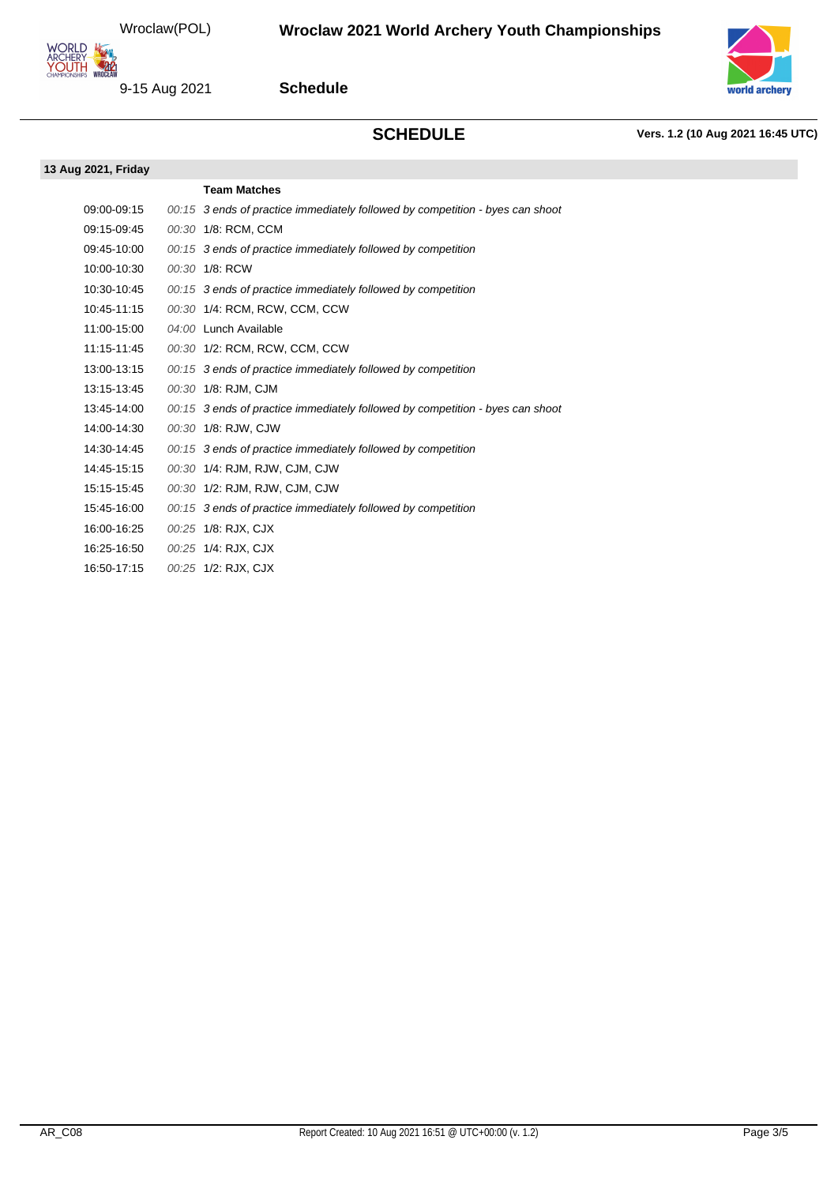

9-15 Aug 2021

## **Schedule**



**SCHEDULE Vers. 1.2 (10 Aug 2021 16:45 UTC)**

| 13 Aug 2021, Friday |                                                                               |
|---------------------|-------------------------------------------------------------------------------|
|                     | <b>Team Matches</b>                                                           |
| 09:00-09:15         | 00:15 3 ends of practice immediately followed by competition - byes can shoot |
| 09:15-09:45         | 00:30 1/8: RCM, CCM                                                           |
| 09:45-10:00         | 00:15 3 ends of practice immediately followed by competition                  |
| 10:00-10:30         | 00:30 1/8: RCW                                                                |
| 10:30-10:45         | 00:15 3 ends of practice immediately followed by competition                  |
| 10:45-11:15         | 00:30 1/4: RCM, RCW, CCM, CCW                                                 |
| 11:00-15:00         | 04:00 Lunch Available                                                         |
| 11:15-11:45         | 00:30 1/2: RCM, RCW, CCM, CCW                                                 |
| 13:00-13:15         | 00:15 3 ends of practice immediately followed by competition                  |
| 13:15-13:45         | 00:30 1/8: RJM, CJM                                                           |
| 13:45-14:00         | 00:15 3 ends of practice immediately followed by competition - byes can shoot |
| 14:00-14:30         | 00:30 1/8: RJW, CJW                                                           |
| 14:30-14:45         | 00:15 3 ends of practice immediately followed by competition                  |
| 14:45-15:15         | 00:30 1/4: RJM, RJW, CJM, CJW                                                 |
| 15:15-15:45         | 00:30 1/2: RJM, RJW, CJM, CJW                                                 |
| 15:45-16:00         | 00:15 3 ends of practice immediately followed by competition                  |
| 16:00-16:25         | 00:25 1/8: RJX, CJX                                                           |
| 16:25-16:50         | 00:25 1/4: RJX, CJX                                                           |
| 16:50-17:15         | 00:25 1/2: RJX, CJX                                                           |
|                     |                                                                               |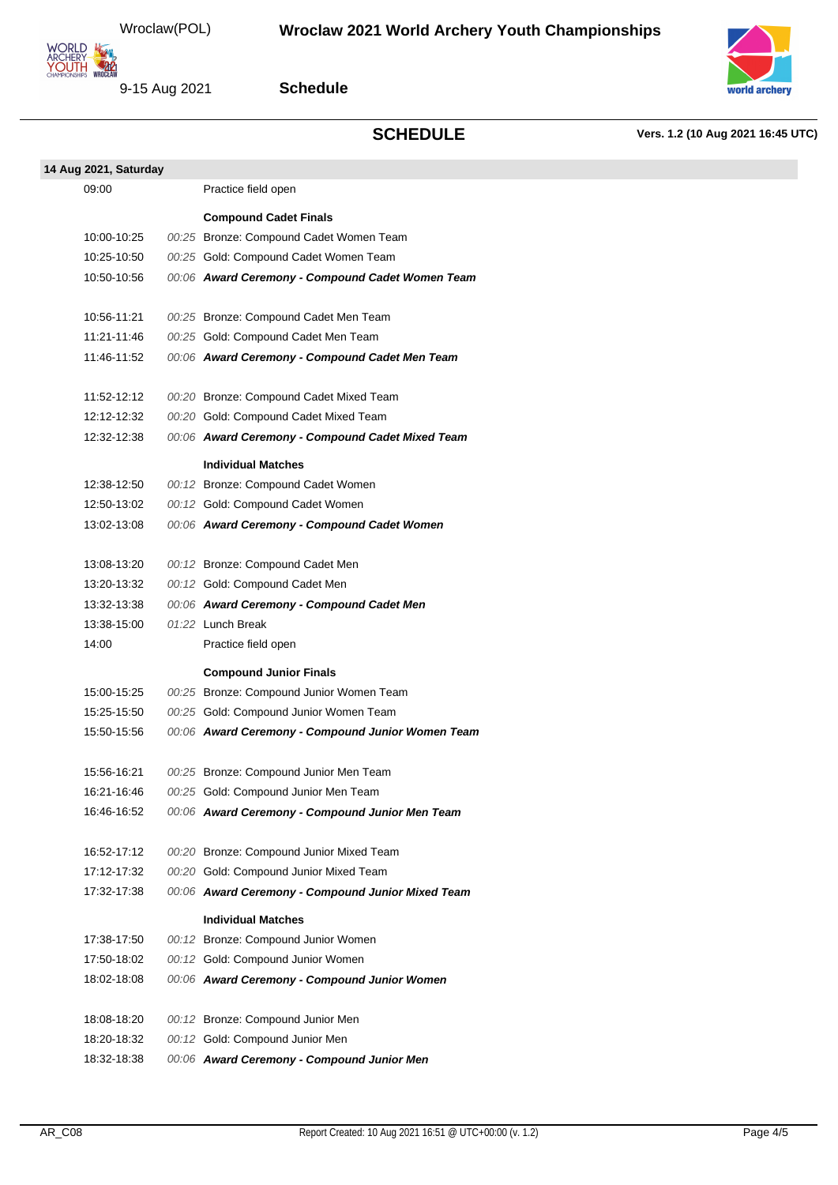

**Schedule**

**SCHEDULE Vers. 1.2 (10 Aug 2021 16:45 UTC)**

| 14 Aug 2021, Saturday |                                                                  |
|-----------------------|------------------------------------------------------------------|
| 09:00                 | Practice field open                                              |
|                       |                                                                  |
|                       | <b>Compound Cadet Finals</b>                                     |
| 10:00-10:25           | 00:25 Bronze: Compound Cadet Women Team                          |
| 10:25-10:50           | 00:25 Gold: Compound Cadet Women Team                            |
| 10:50-10:56           | 00:06 Award Ceremony - Compound Cadet Women Team                 |
|                       |                                                                  |
| 10:56-11:21           | 00:25 Bronze: Compound Cadet Men Team                            |
| 11:21-11:46           | 00:25 Gold: Compound Cadet Men Team                              |
| 11:46-11:52           | 00:06 Award Ceremony - Compound Cadet Men Team                   |
|                       |                                                                  |
| 11:52-12:12           | 00:20 Bronze: Compound Cadet Mixed Team                          |
| 12:12-12:32           | 00:20 Gold: Compound Cadet Mixed Team                            |
| 12:32-12:38           | 00:06 Award Ceremony - Compound Cadet Mixed Team                 |
|                       | <b>Individual Matches</b>                                        |
| 12:38-12:50           | 00:12 Bronze: Compound Cadet Women                               |
| 12:50-13:02           | 00:12 Gold: Compound Cadet Women                                 |
| 13:02-13:08           | 00:06 Award Ceremony - Compound Cadet Women                      |
|                       |                                                                  |
| 13:08-13:20           | 00:12 Bronze: Compound Cadet Men                                 |
| 13:20-13:32           | 00:12 Gold: Compound Cadet Men                                   |
| 13:32-13:38           | 00:06 Award Ceremony - Compound Cadet Men                        |
| 13:38-15:00           | $01:22$ Lunch Break                                              |
| 14:00                 | Practice field open                                              |
|                       |                                                                  |
|                       | <b>Compound Junior Finals</b>                                    |
| 15:00-15:25           | 00:25 Bronze: Compound Junior Women Team                         |
| 15:25-15:50           | 00:25 Gold: Compound Junior Women Team                           |
| 15:50-15:56           | 00:06 Award Ceremony - Compound Junior Women Team                |
| 15:56-16:21           | 00:25 Bronze: Compound Junior Men Team                           |
| 16:21-16:46           | 00:25 Gold: Compound Junior Men Team                             |
| 16:46-16:52           | 00:06 Award Ceremony - Compound Junior Men Team                  |
|                       |                                                                  |
| 16:52-17:12           | 00:20 Bronze: Compound Junior Mixed Team                         |
| 17:12-17:32           | 00:20 Gold: Compound Junior Mixed Team                           |
| 17:32-17:38           | 00:06 Award Ceremony - Compound Junior Mixed Team                |
|                       |                                                                  |
| 17:38-17:50           | <b>Individual Matches</b><br>00:12 Bronze: Compound Junior Women |
| 17:50-18:02           | 00:12 Gold: Compound Junior Women                                |
| 18:02-18:08           | 00:06 Award Ceremony - Compound Junior Women                     |
|                       |                                                                  |
| 18:08-18:20           | 00:12 Bronze: Compound Junior Men                                |
| 18:20-18:32           | 00:12 Gold: Compound Junior Men                                  |
| 18:32-18:38           | 00:06 Award Ceremony - Compound Junior Men                       |
|                       |                                                                  |